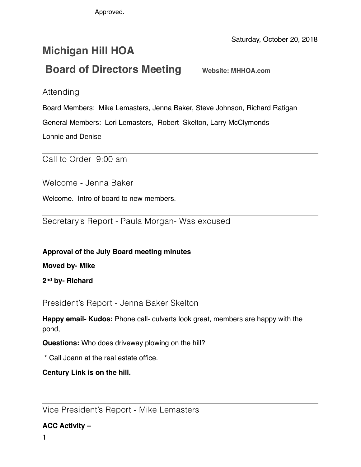Approved.

Saturday, October 20, 2018

# **Michigan Hill HOA Board of Directors Meeting** Website: MHHOA.com

Attending

Board Members: Mike Lemasters, Jenna Baker, Steve Johnson, Richard Ratigan

General Members: Lori Lemasters, Robert Skelton, Larry McClymonds

Lonnie and Denise

Call to Order 9:00 am

Welcome - Jenna Baker

Welcome. Intro of board to new members.

Secretary's Report - Paula Morgan- Was excused

**Approval of the July Board meeting minutes** 

**Moved by- Mike** 

**2nd by- Richard**

President's Report - Jenna Baker Skelton

**Happy email- Kudos:** Phone call- culverts look great, members are happy with the pond,

**Questions:** Who does driveway plowing on the hill?

\* Call Joann at the real estate office.

**Century Link is on the hill.** 

Vice President's Report - Mike Lemasters

**ACC Activity –**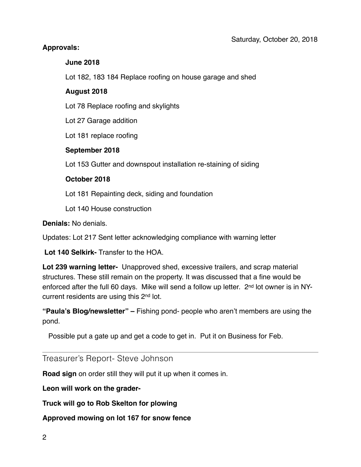# **Approvals:**

#### **June 2018**

Lot 182, 183 184 Replace roofing on house garage and shed

#### **August 2018**

Lot 78 Replace roofing and skylights

Lot 27 Garage addition

Lot 181 replace roofing

#### **September 2018**

Lot 153 Gutter and downspout installation re-staining of siding

#### **October 2018**

Lot 181 Repainting deck, siding and foundation

Lot 140 House construction

**Denials:** No denials.

Updates: Lot 217 Sent letter acknowledging compliance with warning letter

 **Lot 140 Selkirk-** Transfer to the HOA.

**Lot 239 warning letter-** Unapproved shed, excessive trailers, and scrap material structures. These still remain on the property. It was discussed that a fine would be enforced after the full 60 days. Mike will send a follow up letter. 2<sup>nd</sup> lot owner is in NYcurrent residents are using this 2nd lot.

**"Paula's Blog/newsletter" –** Fishing pond- people who aren't members are using the pond.

Possible put a gate up and get a code to get in. Put it on Business for Feb.

# Treasurer's Report- Steve Johnson

**Road sign** on order still they will put it up when it comes in.

**Leon will work on the grader-**

**Truck will go to Rob Skelton for plowing** 

**Approved mowing on lot 167 for snow fence**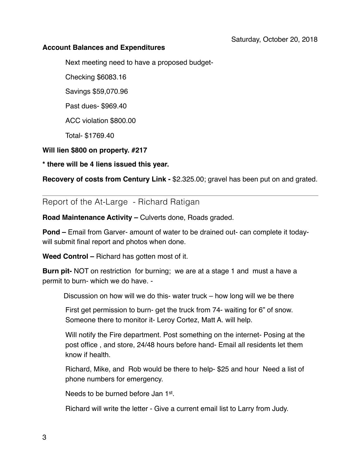#### **Account Balances and Expenditures**

Next meeting need to have a proposed budget-

Checking \$6083.16

Savings \$59,070.96

Past dues- \$969.40

ACC violation \$800.00

Total- \$1769.40

### **Will lien \$800 on property. #217**

**\* there will be 4 liens issued this year.** 

**Recovery of costs from Century Link -** \$2.325.00; gravel has been put on and grated.

Report of the At-Large - Richard Ratigan

**Road Maintenance Activity – Culverts done, Roads graded.** 

**Pond –** Email from Garver- amount of water to be drained out- can complete it todaywill submit final report and photos when done.

**Weed Control –** Richard has gotten most of it.

**Burn pit-** NOT on restriction for burning; we are at a stage 1 and must a have a permit to burn- which we do have. -

Discussion on how will we do this- water truck – how long will we be there

First get permission to burn- get the truck from 74- waiting for 6" of snow. Someone there to monitor it- Leroy Cortez, Matt A. will help.

Will notify the Fire department. Post something on the internet- Posing at the post office , and store, 24/48 hours before hand- Email all residents let them know if health.

Richard, Mike, and Rob would be there to help- \$25 and hour Need a list of phone numbers for emergency.

Needs to be burned before Jan 1st.

Richard will write the letter - Give a current email list to Larry from Judy.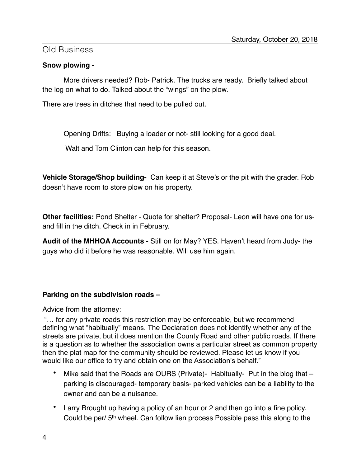# Old Business

# **Snow plowing -**

More drivers needed? Rob- Patrick. The trucks are ready. Briefly talked about the log on what to do. Talked about the "wings" on the plow.

There are trees in ditches that need to be pulled out.

Opening Drifts: Buying a loader or not- still looking for a good deal.

Walt and Tom Clinton can help for this season.

**Vehicle Storage/Shop building-** Can keep it at Steve's or the pit with the grader. Rob doesn't have room to store plow on his property.

**Other facilities:** Pond Shelter - Quote for shelter? Proposal- Leon will have one for usand fill in the ditch. Check in in February.

**Audit of the MHHOA Accounts -** Still on for May? YES. Haven't heard from Judy- the guys who did it before he was reasonable. Will use him again.

# **Parking on the subdivision roads –**

Advice from the attorney:

 "… for any private roads this restriction may be enforceable, but we recommend defining what "habitually" means. The Declaration does not identify whether any of the streets are private, but it does mention the County Road and other public roads. If there is a question as to whether the association owns a particular street as common property then the plat map for the community should be reviewed. Please let us know if you would like our office to try and obtain one on the Association's behalf."

- Mike said that the Roads are OURS (Private)- Habitually- Put in the blog that  $$ parking is discouraged- temporary basis- parked vehicles can be a liability to the owner and can be a nuisance.
- Larry Brought up having a policy of an hour or 2 and then go into a fine policy. Could be per/ 5th wheel. Can follow lien process Possible pass this along to the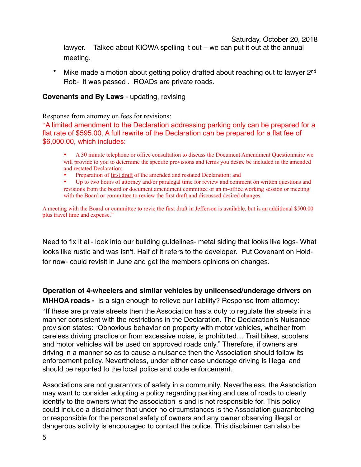Saturday, October 20, 2018

lawyer. Talked about KIOWA spelling it out – we can put it out at the annual meeting.

Mike made a motion about getting policy drafted about reaching out to lawyer 2<sup>nd</sup> Rob- it was passed . ROADs are private roads.

#### **Covenants and By Laws** - updating, revising

Response from attorney on fees for revisions:

"A limited amendment to the Declaration addressing parking only can be prepared for a flat rate of \$595.00. A full rewrite of the Declaration can be prepared for a flat fee of \$6,000.00, which includes:

• A 30 minute telephone or office consultation to discuss the Document Amendment Questionnaire we will provide to you to determine the specific provisions and terms you desire be included in the amended and restated Declaration;

• Preparation of first draft of the amended and restated Declaration; and

• Up to two hours of attorney and/or paralegal time for review and comment on written questions and revisions from the board or document amendment committee or an in-office working session or meeting with the Board or committee to review the first draft and discussed desired changes.

A meeting with the Board or committee to revie the first draft in Jefferson is available, but is an additional \$500.00 plus travel time and expense."

Need to fix it all- look into our building guidelines- metal siding that looks like logs- What looks like rustic and was isn't. Half of it refers to the developer. Put Covenant on Holdfor now- could revisit in June and get the members opinions on changes.

**Operation of 4-wheelers and similar vehicles by unlicensed/underage drivers on** 

**MHHOA roads -** is a sign enough to relieve our liability? Response from attorney: "If these are private streets then the Association has a duty to regulate the streets in a manner consistent with the restrictions in the Declaration. The Declaration's Nuisance provision states: "Obnoxious behavior on property with motor vehicles, whether from careless driving practice or from excessive noise, is prohibited… Trail bikes, scooters and motor vehicles will be used on approved roads only." Therefore, if owners are driving in a manner so as to cause a nuisance then the Association should follow its enforcement policy. Nevertheless, under either case underage driving is illegal and should be reported to the local police and code enforcement.

Associations are not guarantors of safety in a community. Nevertheless, the Association may want to consider adopting a policy regarding parking and use of roads to clearly identify to the owners what the association is and is not responsible for. This policy could include a disclaimer that under no circumstances is the Association guaranteeing or responsible for the personal safety of owners and any owner observing illegal or dangerous activity is encouraged to contact the police. This disclaimer can also be